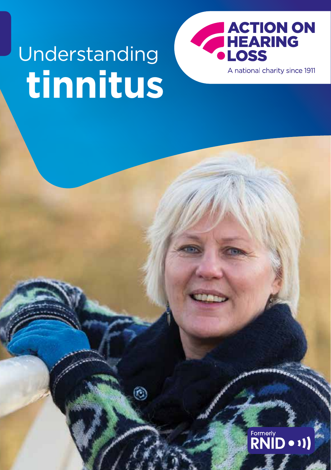# **tinnitus** Understanding

Ō.



A national charity since 1911

# Formerly<br>**RNID** • 1)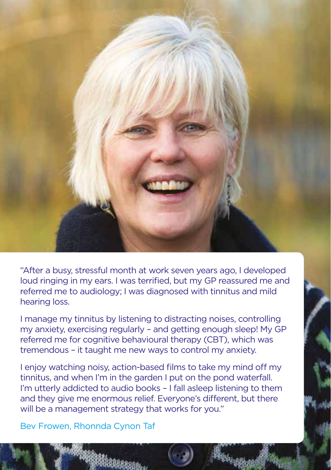

"After a busy, stressful month at work seven years ago, I developed loud ringing in my ears. I was terrified, but my GP reassured me and referred me to audiology; I was diagnosed with tinnitus and mild hearing loss.

I manage my tinnitus by listening to distracting noises, controlling my anxiety, exercising regularly – and getting enough sleep! My GP referred me for cognitive behavioural therapy (CBT), which was tremendous – it taught me new ways to control my anxiety.

I enjoy watching noisy, action-based films to take my mind off my tinnitus, and when I'm in the garden I put on the pond waterfall. I'm utterly addicted to audio books – I fall asleep listening to them and they give me enormous relief. Everyone's different, but there will be a management strategy that works for you."

Bev Frowen, Rhonnda Cynon Taf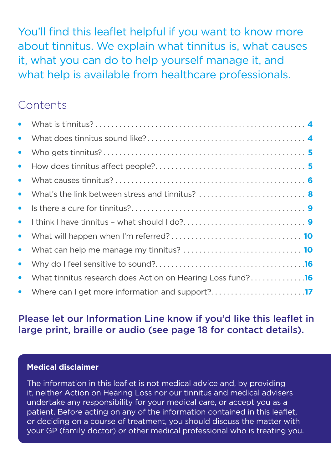You'll find this leaflet helpful if you want to know more about tinnitus. We explain what tinnitus is, what causes it, what you can do to help yourself manage it, and what help is available from healthcare professionals.

#### **Contents**

| $\bullet$ |                                                            |  |
|-----------|------------------------------------------------------------|--|
| $\bullet$ |                                                            |  |
| $\bullet$ |                                                            |  |
| $\bullet$ |                                                            |  |
| $\bullet$ | What's the link between stress and tinnitus?  8            |  |
| $\bullet$ |                                                            |  |
| $\bullet$ |                                                            |  |
| $\bullet$ |                                                            |  |
| $\bullet$ |                                                            |  |
| $\bullet$ |                                                            |  |
| $\bullet$ | What tinnitus research does Action on Hearing Loss fund?16 |  |
|           |                                                            |  |

#### Please let our Information Line know if you'd like this leaflet in large print, braille or audio [\(see page 18](#page-17-0) for contact details).

#### **Medical disclaimer**

The information in this leaflet is not medical advice and, by providing it, neither Action on Hearing Loss nor our tinnitus and medical advisers undertake any responsibility for your medical care, or accept you as a patient. Before acting on any of the information contained in this leaflet, or deciding on a course of treatment, you should discuss the matter with your GP (family doctor) or other medical professional who is treating you.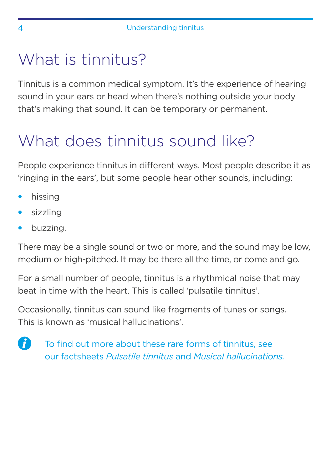### <span id="page-3-0"></span>What is tinnitus?

Tinnitus is a common medical symptom. It's the experience of hearing sound in your ears or head when there's nothing outside your body that's making that sound. It can be temporary or permanent.

### What does tinnitus sound like?

People experience tinnitus in different ways. Most people describe it as 'ringing in the ears', but some people hear other sounds, including:

- hissing
- sizzling
- buzzing.

There may be a single sound or two or more, and the sound may be low, medium or high-pitched. It may be there all the time, or come and go.

For a small number of people, tinnitus is a rhythmical noise that may beat in time with the heart. This is called 'pulsatile tinnitus'.

Occasionally, tinnitus can sound like fragments of tunes or songs. This is known as 'musical hallucinations'.



To find out more about these rare forms of tinnitus, see our factsheets *Pulsatile tinnitus* and *Musical hallucinations.*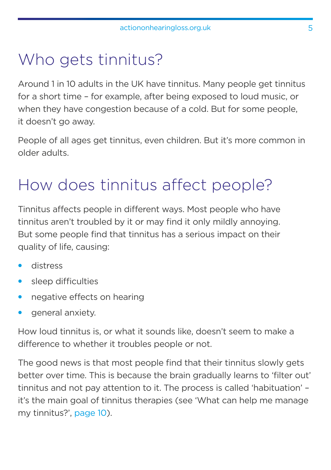### <span id="page-4-0"></span>Who gets tinnitus?

Around 1 in 10 adults in the UK have tinnitus. Many people get tinnitus for a short time – for example, after being exposed to loud music, or when they have congestion because of a cold. But for some people, it doesn't go away.

People of all ages get tinnitus, even children. But it's more common in older adults.

### How does tinnitus affect people?

Tinnitus affects people in different ways. Most people who have tinnitus aren't troubled by it or may find it only mildly annoying. But some people find that tinnitus has a serious impact on their quality of life, causing:

- distress
- sleep difficulties
- negative effects on hearing
- general anxiety.

How loud tinnitus is, or what it sounds like, doesn't seem to make a difference to whether it troubles people or not.

The good news is that most people find that their tinnitus slowly gets better over time. This is because the brain gradually learns to 'filter out' tinnitus and not pay attention to it. The process is called 'habituation' – it's the main goal of tinnitus therapies (see 'What can help me manage my tinnitus?', [page 10](#page-9-0)).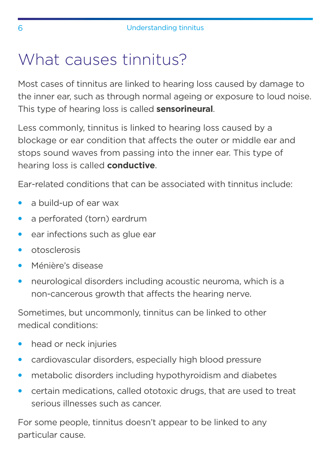### <span id="page-5-0"></span>What causes tinnitus?

Most cases of tinnitus are linked to hearing loss caused by damage to the inner ear, such as through normal ageing or exposure to loud noise. This type of hearing loss is called **sensorineural**.

Less commonly, tinnitus is linked to hearing loss caused by a blockage or ear condition that affects the outer or middle ear and stops sound waves from passing into the inner ear. This type of hearing loss is called **conductive**.

Ear-related conditions that can be associated with tinnitus include:

- a build-up of ear wax
- a perforated (torn) eardrum
- ear infections such as glue ear
- otosclerosis
- Ménière's disease
- neurological disorders including acoustic neuroma, which is a non-cancerous growth that affects the hearing nerve.

Sometimes, but uncommonly, tinnitus can be linked to other medical conditions:

- head or neck injuries
- cardiovascular disorders, especially high blood pressure
- metabolic disorders including hypothyroidism and diabetes
- certain medications, called ototoxic drugs, that are used to treat serious illnesses such as cancer.

For some people, tinnitus doesn't appear to be linked to any particular cause.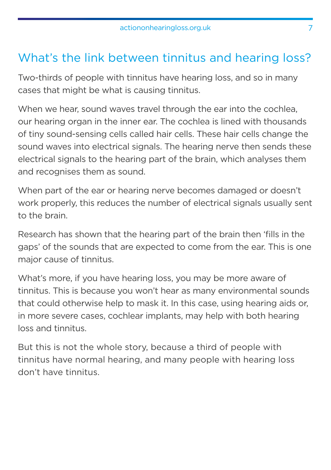#### What's the link between tinnitus and hearing loss?

Two-thirds of people with tinnitus have hearing loss, and so in many cases that might be what is causing tinnitus.

When we hear, sound waves travel through the ear into the cochlea, our hearing organ in the inner ear. The cochlea is lined with thousands of tiny sound-sensing cells called hair cells. These hair cells change the sound waves into electrical signals. The hearing nerve then sends these electrical signals to the hearing part of the brain, which analyses them and recognises them as sound.

When part of the ear or hearing nerve becomes damaged or doesn't work properly, this reduces the number of electrical signals usually sent to the brain.

Research has shown that the hearing part of the brain then 'fills in the gaps' of the sounds that are expected to come from the ear. This is one major cause of tinnitus.

What's more, if you have hearing loss, you may be more aware of tinnitus. This is because you won't hear as many environmental sounds that could otherwise help to mask it. In this case, using hearing aids or, in more severe cases, cochlear implants, may help with both hearing loss and tinnitus.

But this is not the whole story, because a third of people with tinnitus have normal hearing, and many people with hearing loss don't have tinnitus.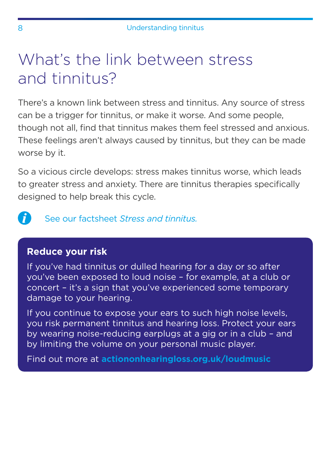### <span id="page-7-0"></span>What's the link between stress and tinnitus?

There's a known link between stress and tinnitus. Any source of stress can be a trigger for tinnitus, or make it worse. And some people, though not all, find that tinnitus makes them feel stressed and anxious. These feelings aren't always caused by tinnitus, but they can be made worse by it.

So a vicious circle develops: stress makes tinnitus worse, which leads to greater stress and anxiety. There are tinnitus therapies specifically designed to help break this cycle.

A See our factsheet *Stress and tinnitus.*

#### **Reduce your risk**

If you've had tinnitus or dulled hearing for a day or so after you've been exposed to loud noise – for example, at a club or concert – it's a sign that you've experienced some temporary damage to your hearing.

If you continue to expose your ears to such high noise levels, you risk permanent tinnitus and hearing loss. Protect your ears by wearing noise-reducing earplugs at a gig or in a club – and by limiting the volume on your personal music player.

Find out more at **[actiononhearingloss.org.uk/loudmusic](http://actiononhearingloss.org.uk/loudmusic)**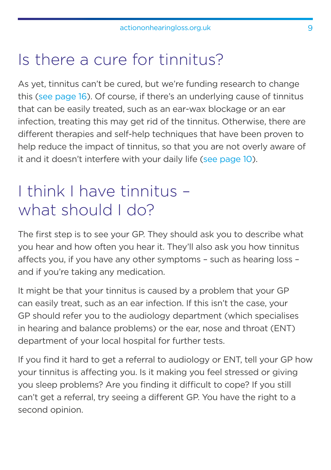### <span id="page-8-0"></span>Is there a cure for tinnitus?

As yet, tinnitus can't be cured, but we're funding research to change this [\(see page 16](#page-15-0)). Of course, if there's an underlying cause of tinnitus that can be easily treated, such as an ear-wax blockage or an ear infection, treating this may get rid of the tinnitus. Otherwise, there are different therapies and self-help techniques that have been proven to help reduce the impact of tinnitus, so that you are not overly aware of it and it doesn't interfere with your daily life [\(see page 10\)](#page-9-0).

### I think I have tinnitus – what should I do?

The first step is to see your GP. They should ask you to describe what you hear and how often you hear it. They'll also ask you how tinnitus affects you, if you have any other symptoms – such as hearing loss – and if you're taking any medication.

It might be that your tinnitus is caused by a problem that your GP can easily treat, such as an ear infection. If this isn't the case, your GP should refer you to the audiology department (which specialises in hearing and balance problems) or the ear, nose and throat (ENT) department of your local hospital for further tests.

If you find it hard to get a referral to audiology or ENT, tell your GP how your tinnitus is affecting you. Is it making you feel stressed or giving you sleep problems? Are you finding it difficult to cope? If you still can't get a referral, try seeing a different GP. You have the right to a second opinion.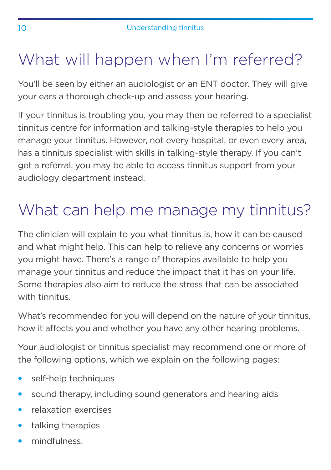### <span id="page-9-0"></span>What will happen when I'm referred?

You'll be seen by either an audiologist or an ENT doctor. They will give your ears a thorough check-up and assess your hearing.

If your tinnitus is troubling you, you may then be referred to a specialist tinnitus centre for information and talking-style therapies to help you manage your tinnitus. However, not every hospital, or even every area, has a tinnitus specialist with skills in talking-style therapy. If you can't get a referral, you may be able to access tinnitus support from your audiology department instead.

## What can help me manage my tinnitus?

The clinician will explain to you what tinnitus is, how it can be caused and what might help. This can help to relieve any concerns or worries you might have. There's a range of therapies available to help you manage your tinnitus and reduce the impact that it has on your life. Some therapies also aim to reduce the stress that can be associated with tinnitus.

What's recommended for you will depend on the nature of your tinnitus, how it affects you and whether you have any other hearing problems.

Your audiologist or tinnitus specialist may recommend one or more of the following options, which we explain on the following pages:

- self-help techniques
- sound therapy, including sound generators and hearing aids
- relaxation exercises
- talking therapies
- mindfulness.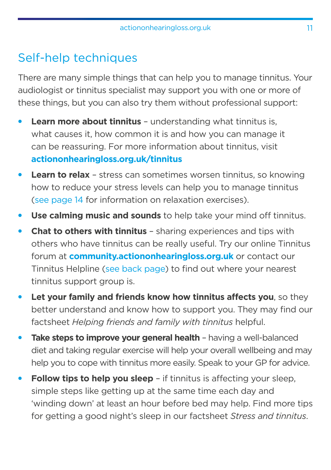#### Self-help techniques

There are many simple things that can help you to manage tinnitus. Your audiologist or tinnitus specialist may support you with one or more of these things, but you can also try them without professional support:

- **Learn more about tinnitus** understanding what tinnitus is, what causes it, how common it is and how you can manage it can be reassuring. For more information about tinnitus, visit **[actiononhearingloss.org.uk/tinnitus](http://actiononhearingloss.org.uk/tinnitus)**
- **Learn to relax** stress can sometimes worsen tinnitus, so knowing how to reduce your stress levels can help you to manage tinnitus [\(see page 14](#page-13-0) for information on relaxation exercises).
- **Use calming music and sounds** to help take your mind off tinnitus.
- **Chat to others with tinnitus** sharing experiences and tips with others who have tinnitus can be really useful. Try our online Tinnitus forum at **[community.actiononhearingloss.org.uk](http://community.actiononhearingloss.org.uk)** or contact our Tinnitus Helpline [\(see back page](#page-19-0)) to find out where your nearest tinnitus support group is.
- **Let your family and friends know how tinnitus affects you, so they** better understand and know how to support you. They may find our factsheet *Helping friends and family with tinnitus* helpful.
- **Take steps to improve your general health** having a well-balanced diet and taking regular exercise will help your overall wellbeing and may help you to cope with tinnitus more easily. Speak to your GP for advice.
- **Follow tips to help you sleep** if tinnitus is affecting your sleep, simple steps like getting up at the same time each day and 'winding down' at least an hour before bed may help. Find more tips for getting a good night's sleep in our factsheet *Stress and tinnitus*.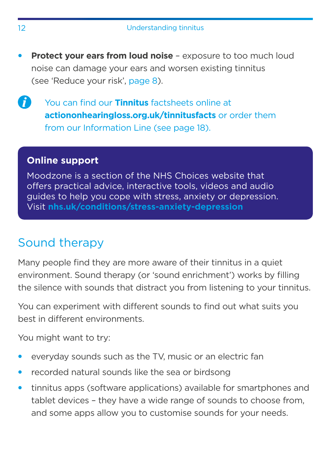- **Protect your ears from loud noise** exposure to too much loud noise can damage your ears and worsen existing tinnitus (see 'Reduce your risk', [page 8\)](#page-7-0).
- $\boldsymbol{f}$

You can find our **Tinnitus** factsheets online at **[actiononhearingloss.org.uk/tinnitusfacts](http://actiononhearingloss.org.uk/tinnitusfacts)** or order them from our Information Line [\(see page 18](#page-17-0)).

#### **Online support**

Moodzone is a section of the NHS Choices website that offers practical advice, interactive tools, videos and audio guides to help you cope with stress, anxiety or depression. Visit **[nhs.uk/conditions/stress-anxiety-depression](http://nhs.uk/conditions/stress-anxiety-depression)**

#### Sound therapy

Many people find they are more aware of their tinnitus in a quiet environment. Sound therapy (or 'sound enrichment') works by filling the silence with sounds that distract you from listening to your tinnitus.

You can experiment with different sounds to find out what suits you best in different environments.

You might want to try:

- everyday sounds such as the TV, music or an electric fan
- recorded natural sounds like the sea or birdsong
- tinnitus apps (software applications) available for smartphones and tablet devices – they have a wide range of sounds to choose from, and some apps allow you to customise sounds for your needs.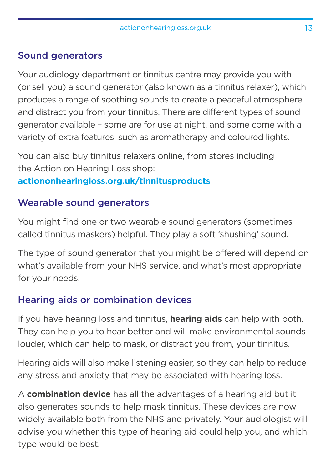#### Sound generators

Your audiology department or tinnitus centre may provide you with (or sell you) a sound generator (also known as a tinnitus relaxer), which produces a range of soothing sounds to create a peaceful atmosphere and distract you from your tinnitus. There are different types of sound generator available – some are for use at night, and some come with a variety of extra features, such as aromatherapy and coloured lights.

You can also buy tinnitus relaxers online, from stores including the Action on Hearing Loss shop:

#### **[actiononhearingloss.org.uk/tinnitusproducts](http://actiononhearingloss.org.uk/tinnitusproducts)**

#### Wearable sound generators

You might find one or two wearable sound generators (sometimes called tinnitus maskers) helpful. They play a soft 'shushing' sound.

The type of sound generator that you might be offered will depend on what's available from your NHS service, and what's most appropriate for your needs.

#### Hearing aids or combination devices

If you have hearing loss and tinnitus, **hearing aids** can help with both. They can help you to hear better and will make environmental sounds louder, which can help to mask, or distract you from, your tinnitus.

Hearing aids will also make listening easier, so they can help to reduce any stress and anxiety that may be associated with hearing loss.

A **combination device** has all the advantages of a hearing aid but it also generates sounds to help mask tinnitus. These devices are now widely available both from the NHS and privately. Your audiologist will advise you whether this type of hearing aid could help you, and which type would be best.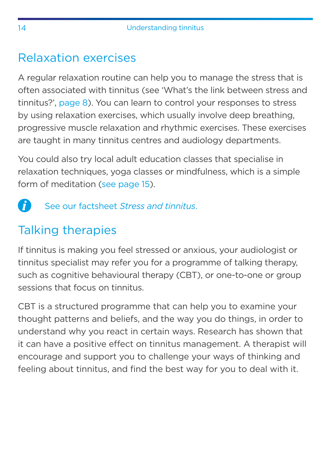#### <span id="page-13-0"></span>Relaxation exercises

A regular relaxation routine can help you to manage the stress that is often associated with tinnitus (see 'What's the link between stress and tinnitus?', [page 8](#page-7-0)). You can learn to control your responses to stress by using relaxation exercises, which usually involve deep breathing, progressive muscle relaxation and rhythmic exercises. These exercises are taught in many tinnitus centres and audiology departments.

You could also try local adult education classes that specialise in relaxation techniques, yoga classes or mindfulness, which is a simple form of meditation [\(see page 15\)](#page-14-0).

#### A See our factsheet *Stress and tinnitus*.

### Talking therapies

If tinnitus is making you feel stressed or anxious, your audiologist or tinnitus specialist may refer you for a programme of talking therapy, such as cognitive behavioural therapy (CBT), or one-to-one or group sessions that focus on tinnitus.

CBT is a structured programme that can help you to examine your thought patterns and beliefs, and the way you do things, in order to understand why you react in certain ways. Research has shown that it can have a positive effect on tinnitus management. A therapist will encourage and support you to challenge your ways of thinking and feeling about tinnitus, and find the best way for you to deal with it.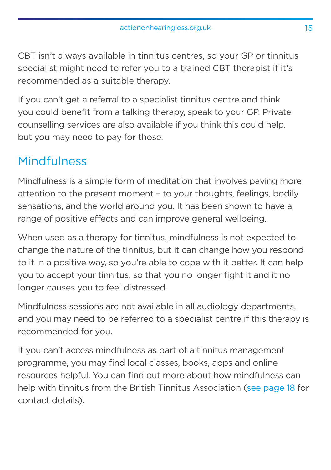<span id="page-14-0"></span>CBT isn't always available in tinnitus centres, so your GP or tinnitus specialist might need to refer you to a trained CBT therapist if it's recommended as a suitable therapy.

If you can't get a referral to a specialist tinnitus centre and think you could benefit from a talking therapy, speak to your GP. Private counselling services are also available if you think this could help, but you may need to pay for those.

#### **Mindfulness**

Mindfulness is a simple form of meditation that involves paying more attention to the present moment – to your thoughts, feelings, bodily sensations, and the world around you. It has been shown to have a range of positive effects and can improve general wellbeing.

When used as a therapy for tinnitus, mindfulness is not expected to change the nature of the tinnitus, but it can change how you respond to it in a positive way, so you're able to cope with it better. It can help you to accept your tinnitus, so that you no longer fight it and it no longer causes you to feel distressed.

Mindfulness sessions are not available in all audiology departments, and you may need to be referred to a specialist centre if this therapy is recommended for you.

If you can't access mindfulness as part of a tinnitus management programme, you may find local classes, books, apps and online resources helpful. You can find out more about how mindfulness can help with tinnitus from the British Tinnitus Association [\(see page 18](#page-17-0) for contact details).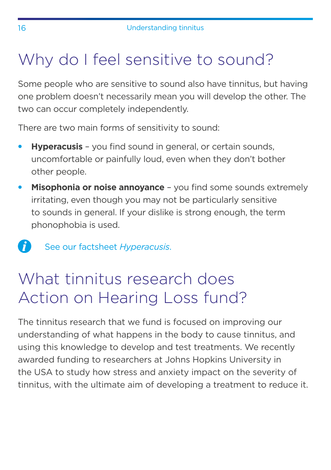### <span id="page-15-0"></span>Why do I feel sensitive to sound?

Some people who are sensitive to sound also have tinnitus, but having one problem doesn't necessarily mean you will develop the other. The two can occur completely independently.

There are two main forms of sensitivity to sound:

- **Hyperacusis** you find sound in general, or certain sounds, uncomfortable or painfully loud, even when they don't bother other people.
- **Misophonia or noise annoyance** you find some sounds extremely irritating, even though you may not be particularly sensitive to sounds in general. If your dislike is strong enough, the term phonophobia is used.

See our factsheet *Hyperacusis*.

### What tinnitus research does Action on Hearing Loss fund?

The tinnitus research that we fund is focused on improving our understanding of what happens in the body to cause tinnitus, and using this knowledge to develop and test treatments. We recently awarded funding to researchers at Johns Hopkins University in the USA to study how stress and anxiety impact on the severity of tinnitus, with the ultimate aim of developing a treatment to reduce it.

 $\mathbf{f}$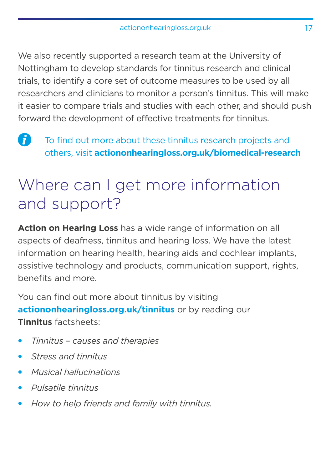<span id="page-16-0"></span>We also recently supported a research team at the University of Nottingham to develop standards for tinnitus research and clinical trials, to identify a core set of outcome measures to be used by all researchers and clinicians to monitor a person's tinnitus. This will make it easier to compare trials and studies with each other, and should push forward the development of effective treatments for tinnitus.

A To find out more about these tinnitus research projects and others, visit **[actiononhearingloss.org.uk/biomedical-research](http://actiononhearingloss.org.uk/tinnitusproducts)**

### Where can I get more information and support?

**Action on Hearing Loss** has a wide range of information on all aspects of deafness, tinnitus and hearing loss. We have the latest information on hearing health, hearing aids and cochlear implants, assistive technology and products, communication support, rights, benefits and more.

You can find out more about tinnitus by visiting **[actiononhearingloss.org.uk/tinnitus](http://actiononhearingloss.org.uk/tinnitus)** or by reading our **Tinnitus** factsheets:

- *Tinnitus causes and therapies*
- *Stress and tinnitus*
- *Musical hallucinations*
- *Pulsatile tinnitus*
- *How to help friends and family with tinnitus.*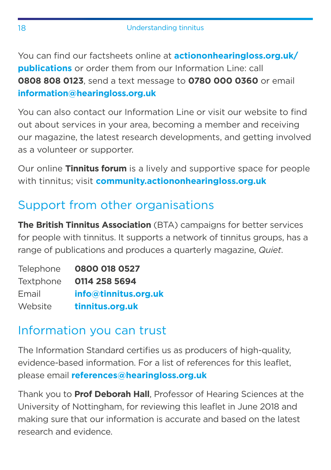<span id="page-17-0"></span>You can find our factsheets online at **[actiononhearingloss.org.uk/](http://actiononhearingloss.org.uk/publications) [publications](http://actiononhearingloss.org.uk/publications)** or order them from our Information Line: call **0808 808 0123**, send a text message to **0780 000 0360** or email **[information@hearingloss.org.uk](http://information@hearingloss.org.uk)**

You can also contact our Information Line or visit our website to find out about services in your area, becoming a member and receiving our magazine, the latest research developments, and getting involved as a volunteer or supporter.

Our online **Tinnitus forum** is a lively and supportive space for people with tinnitus; visit **[community.actiononhearingloss.org.uk](http://community.actiononhearingloss.org.uk)**

#### Support from other organisations

**The British Tinnitus Association** (BTA) campaigns for better services for people with tinnitus. It supports a network of tinnitus groups, has a range of publications and produces a quarterly magazine, *Quiet*.

| Telephone | 0800 018 0527        |
|-----------|----------------------|
| Textphone | 0114 258 5694        |
| Email     | info@tinnitus.org.uk |
| Website   | tinnitus.org.uk      |

#### Information you can trust

The Information Standard certifies us as producers of high-quality, evidence-based information. For a list of references for this leaflet, please email **[references@hearingloss.org.uk](mailto:references%40hearingloss.org.uk?subject=)**

Thank you to **Prof Deborah Hall**, Professor of Hearing Sciences at the University of Nottingham, for reviewing this leaflet in June 2018 and making sure that our information is accurate and based on the latest research and evidence.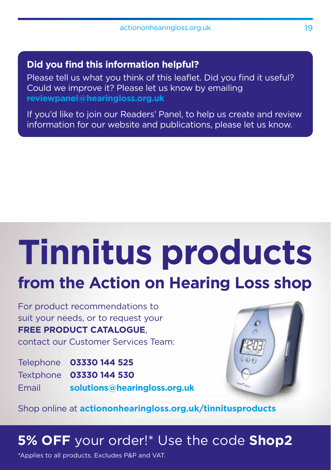#### **Did you find this information helpful?**

Please tell us what you think of this leaflet. Did you find it useful? Could we improve it? Please let us know by emailing **reviewpanel@hearingloss.org.uk**

If you'd like to join our Readers' Panel, to help us create and review information for our website and publications, please let us know.

# **Tinnitus products from the Action on Hearing Loss shop**

For product recommendations to suit your needs, or to request your **FREE PRODUCT CATALOGUE**, contact our Customer Services Team:

Telephone **03330 144 525** Textphone **03330 144 530** Email **[solutions@hearingloss.org.uk](mailto:solutions%40hearingloss.org.uk?subject=)**



Shop online at **[actiononhearingloss.org.uk/](http://actiononhearingloss.org.uk/tinnitusproducts)tinnitusproducts**

#### **5% OFF** your order!\* Use the code **Shop2**

\*Applies to all products. Excludes P&P and VAT.